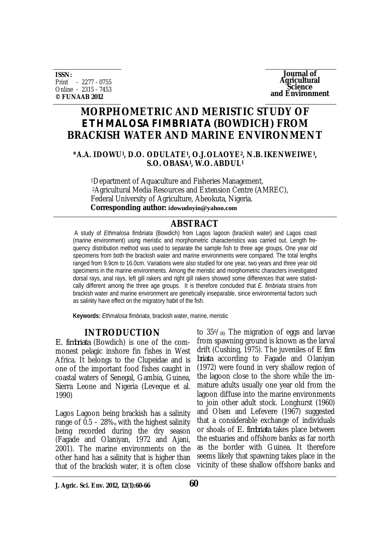**ISSN:** Print - 2277 - 0755 Online - 2315 - 7453 **© FUNAAB 2012**

**Journal of Agricultural Science and Environment**

# **MORPHOMETRIC AND MERISTIC STUDY OF**  *ETHMALOSA FIMBRIATA* **(BOWDICH) FROM BRACKISH WATER AND MARINE ENVIRONMENT**

#### **\*A.A. IDOWU<sup>1</sup> , D.O. ODULATE<sup>1</sup> , O.J.OLAOYE2, N.B.IKENWEIWE<sup>1</sup> , S.O. OBASA<sup>1</sup> , W.O.ABDUL<sup>1</sup>**

<sup>1</sup>Department of Aquaculture and Fisheries Management, <sup>2</sup>Agricultural Media Resources and Extension Centre (AMREC), Federal University of Agriculture, Abeokuta, Nigeria. **Corresponding author: idowudoyin@yahoo.com**

## **ABSTRACT**

A study of *Ethmalosa fimbriata* (Bowdich) from Lagos lagoon (brackish water) and Lagos coast (marine environment) using meristic and morphometric characteristics was carried out. Length frequency distribution method was used to separate the sample fish to three age groups. One year old specimens from both the brackish water and marine environments were compared. The total lengths ranged from 9.9cm to 16.0cm. Variations were also studied for one year, two years and three year old specimens in the marine environments. Among the meristic and morphometric characters investigated dorsal rays, anal rays, left gill rakers and right gill rakers showed some differences that were statistically different among the three age groups. It is therefore concluded that *E. fimbriata* strains from brackish water and marine environment are genetically inseparable, since environmental factors such as salinity have effect on the migratory habit of the fish.

**Keywords:** *Ethmalosa fimbriata*, brackish water, marine, meristic

## **INTRODUCTION**

*E. fimbriata* (Bowdich) is one of the commonest pelagic inshore fin fishes in West Africa. It belongs to the Clupeidae and is one of the important food fishes caught in coastal waters of Senegal, Gambia, Guinea, Sierra Leone and Nigeria (Leveque et al. 1990)

Lagos Lagoon being brackish has a salinity range of  $0.5 - 28\%$  with the highest salinity being recorded during the dry season (Fagade and Olaniyan, 1972 and Ajani, 2001). The marine environments on the other hand has a salinity that is higher than that of the brackish water, it is often close

to  $350/\omega$ . The migration of eggs and larvae from spawning ground is known as the larval drift (Cushing, 1975). The juveniles of *E fimbriata* according to Fagade and Olaniyan (1972) were found in very shallow region of the lagoon close to the shore while the immature adults usually one year old from the lagoon diffuse into the marine environments to join other adult stock. Longhurst (1960) and Olsen and Lefevere (1967) suggested that a considerable exchange of individuals or shoals of *E. fimbriata* takes place between the estuaries and offshore banks as far north as the border with Guinea. It therefore seems likely that spawning takes place in the vicinity of these shallow offshore banks and

**J. Agric. Sci. Env. 2012, 12(1):60-66**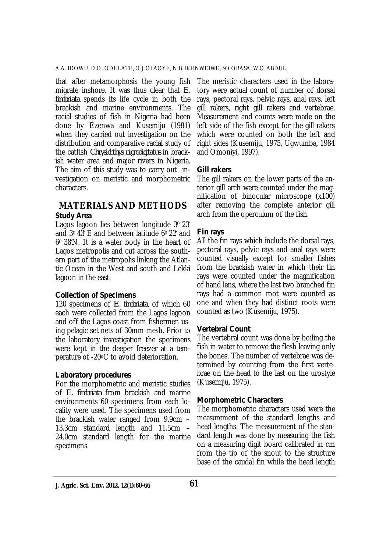that after metamorphosis the young fish migrate inshore. It was thus clear that *E. fimbriata* spends its life cycle in both the brackish and marine environments. The racial studies of fish in Nigeria had been done by Ezenwa and Kusemiju (1981) when they carried out investigation on the distribution and comparative racial study of the catfish *Chrysichthys nigrodigitatus* in brackish water area and major rivers in Nigeria. The aim of this study was to carry out investigation on meristic and morphometric characters.

#### **MATERIALS AND METHODS** *Study Area*

Lagos lagoon lies between longitude 3º 23' and 30 43′ E and between latitude 60 22′ and 60 38′N. It is a water body in the heart of Lagos metropolis and cut across the southern part of the metropolis linking the Atlantic Ocean in the West and south and Lekki lagoon in the east.

## *Collection of Specimens*

120 specimens of *E. fimbriata,* of which 60 each were collected from the Lagos lagoon and off the Lagos coast from fishermen using pelagic set nets of 30mm mesh. Prior to the laboratory investigation the specimens were kept in the deeper freezer at a temperature of -20oC to avoid deterioration.

#### *Laboratory procedures*

For the morphometric and meristic studies of *E. fimbriata* from brackish and marine environments 60 specimens from each locality were used. The specimens used from the brackish water ranged from 9.9cm – 13.3cm standard length and 11.5cm – 24.0cm standard length for the marine specimens.

The meristic characters used in the laboratory were actual count of number of dorsal rays, pectoral rays, pelvic rays, anal rays, left gill rakers, right gill rakers and vertebrae. Measurement and counts were made on the left side of the fish except for the gill rakers which were counted on both the left and right sides (Kusemiju, 1975, Ugwumba, 1984 and Omoniyi, 1997).

## *Gill rakers*

The gill rakers on the lower parts of the anterior gill arch were counted under the magnification of binocular microscope (x100) after removing the complete anterior gill arch from the operculum of the fish.

## *Fin rays*

All the fin rays which include the dorsal rays, pectoral rays, pelvic rays and anal rays were counted visually except for smaller fishes from the brackish water in which their fin rays were counted under the magnification of hand lens, where the last two branched fin rays had a common root were counted as one and when they had distinct roots were counted as two (Kusemiju, 1975).

## *Vertebral Count*

The vertebral count was done by boiling the fish in water to remove the flesh leaving only the bones. The number of vertebrae was determined by counting from the first vertebrae on the head to the last on the urostyle (Kusemiju, 1975).

#### *Morphometric Characters*

The morphometric characters used were the measurement of the standard lengths and head lengths. The measurement of the standard length was done by measuring the fish on a measuring digit board calibrated in cm from the tip of the snout to the structure base of the caudal fin while the head length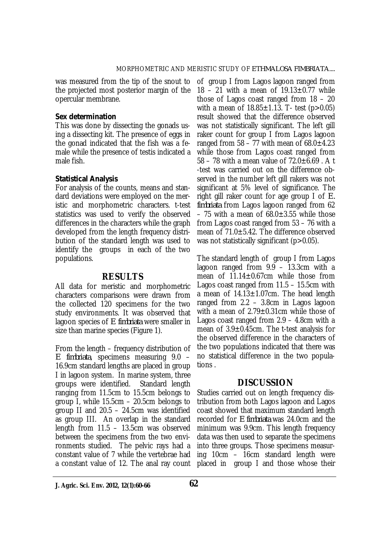the projected most posterior margin of the opercular membrane.

#### *Sex determination*

This was done by dissecting the gonads using a dissecting kit. The presence of eggs in the gonad indicated that the fish was a female while the presence of testis indicated a male fish.

#### *Statistical Analysis*

For analysis of the counts, means and standard deviations were employed on the meristic and morphometric characters. t-test statistics was used to verify the observed differences in the characters while the graph developed from the length frequency distribution of the standard length was used to identify the groups in each of the two populations.

#### **RESULTS**

All data for meristic and morphometric characters comparisons were drawn from the collected 120 specimens for the two study environments. It was observed that lagoon species of *E fimbriata* were smaller in size than marine species (Figure 1).

From the length – frequency distribution of *E fimbriata*, specimens measuring 9.0 – 16.9cm standard lengths are placed in group I in lagoon system. In marine system, three<br>aroups were identified. Standard length groups were identified. ranging from 11.5cm to 15.5cm belongs to group I, while 15.5cm – 20.5cm belongs to group II and 20.5 – 24.5cm was identified as group III. An overlap in the standard length from 11.5 – 13.5cm was observed between the specimens from the two environments studied. The pelvic rays had a constant value of 7 while the vertebrae had a constant value of 12. The anal ray count

was measured from the tip of the snout to of group I from Lagos lagoon ranged from 18 – 21 with a mean of  $19.13 \pm 0.77$  while those of Lagos coast ranged from 18 – 20 with a mean of  $18.85 \pm 1.13$ . T- test (p > 0.05) result showed that the difference observed was not statistically significant. The left gill raker count for group I from Lagos lagoon ranged from  $58 - 77$  with mean of  $68.0 \pm 4.23$ while those from Lagos coast ranged from 58 – 78 with a mean value of  $72.0 \pm 6.69$ . A t -test was carried out on the difference observed in the number left gill rakers was not significant at 5% level of significance. The right gill raker count for age group I of *E. fimbriata* from Lagos lagoon ranged from 62 – 75 with a mean of  $68.0 \pm 3.55$  while those from Lagos coast ranged from 53 – 76 with a mean of 71.0±5.42. The difference observed was not statistically significant (p>0.05).

> The standard length of group I from Lagos lagoon ranged from 9.9 – 13.3cm with a mean of 11.14±0.67cm while those from Lagos coast ranged from 11.5 – 15.5cm with a mean of  $14.13 \pm 1.07$ cm. The head length ranged from 2.2 – 3.8cm in Lagos lagoon with a mean of 2.79±0.31cm while those of Lagos coast ranged from 2.9 – 4.8cm with a mean of 3.9±0.45cm. The t-test analysis for the observed difference in the characters of the two populations indicated that there was no statistical difference in the two populations .

## **DISCUSSION**

Studies carried out on length frequency distribution from both Lagos lagoon and Lagos coast showed that maximum standard length recorded for *E fimbriata* was 24.0cm and the minimum was 9.9cm. This length frequency data was then used to separate the specimens into three groups. Those specimens measuring 10cm – 16cm standard length were placed in group I and those whose their

**J. Agric. Sci. Env. 2012, 12(1):60-66 62**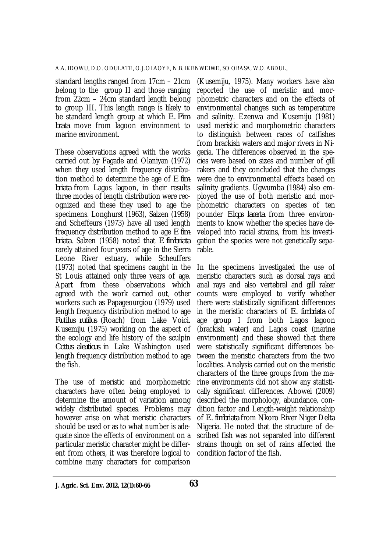standard lengths ranged from 17cm – 21cm belong to the group II and those ranging from 22cm – 24cm standard length belong to group III. This length range is likely to be standard length group at which *E. Fimbrata* move from lagoon environment to marine environment.

These observations agreed with the works carried out by Fagade and Olaniyan (1972) when they used length frequency distribution method to determine the age of *E fimbriata* from Lagos lagoon, in their results three modes of length distribution were recognized and these they used to age the specimens. Longhurst (1963), Salzen (1958) and Scheffeurs (1973) have all used length frequency distribution method to age *E fimbriata.* Salzen (1958) noted that *E fimbriata*  rarely attained four years of age in the Sierra Leone River estuary, while Scheuffers (1973) noted that specimens caught in the St Louis attained only three years of age. Apart from these observations which agreed with the work carried out, other workers such as Papageourgiou (1979) used length frequency distribution method to age *Rutilus rutilus* (Roach) from Lake Voici. Kusemiju (1975) working on the aspect of the ecology and life history of the sculpin *Cottus aleutious* in Lake Washington used length frequency distribution method to age the fish.

The use of meristic and morphometric characters have often being employed to determine the amount of variation among widely distributed species. Problems may however arise on what meristic characters should be used or as to what number is adequate since the effects of environment on a particular meristic character might be different from others, it was therefore logical to combine many characters for comparison

(Kusemiju, 1975). Many workers have also reported the use of meristic and morphometric characters and on the effects of environmental changes such as temperature and salinity. Ezenwa and Kusemiju (1981) used meristic and morphometric characters to distinguish between races of catfishes from brackish waters and major rivers in Nigeria. The differences observed in the species were based on sizes and number of gill rakers and they concluded that the changes were due to environmental effects based on salinity gradients. Ugwumba (1984) also employed the use of both meristic and morphometric characters on species of ten pounder *Elops lacerta* from three environments to know whether the species have developed into racial strains, from his investigation the species were not genetically separable.

In the specimens investigated the use of meristic characters such as dorsal rays and anal rays and also vertebral and gill raker counts were employed to verify whether there were statistically significant differences in the meristic characters of *E. fimbriata* of age group I from both Lagos lagoon (brackish water) and Lagos coast (marine environment) and these showed that there were statistically significant differences between the meristic characters from the two localities. Analysis carried out on the meristic characters of the three groups from the marine environments did not show any statistically significant differences. Abowei (2009) described the morphology, abundance, condition factor and Length-weight relationship of *E. fimbriata* from Nkoro River Niger Delta Nigeria. He noted that the structure of described fish was not separated into different strains though on set of rains affected the condition factor of the fish.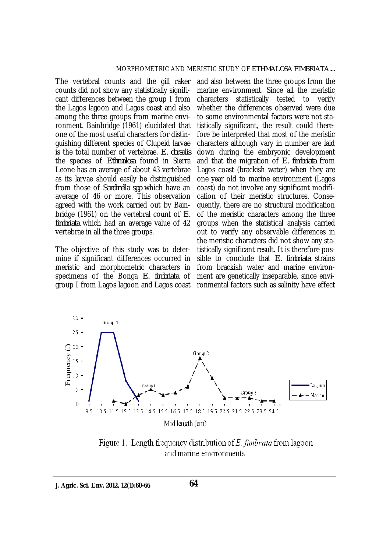The vertebral counts and the gill raker counts did not show any statistically significant differences between the group I from the Lagos lagoon and Lagos coast and also among the three groups from marine environment. Bainbridge (1961) elucidated that one of the most useful characters for distinguishing different species of Clupeid larvae is the total number of vertebrae. *E. dorsalis*  the species of *Ethmalosa* found in Sierra Leone has an average of about 43 vertebrae as its larvae should easily be distinguished from those of *Sardinella spp* which have an average of 46 or more. This observation agreed with the work carried out by Bainbridge (1961) on the vertebral count of *E. fimbriata* which had an average value of 42 vertebrae in all the three groups.

The objective of this study was to determine if significant differences occurred in meristic and morphometric characters in specimens of the Bonga *E. fimbriata* of group I from Lagos lagoon and Lagos coast

and also between the three groups from the marine environment. Since all the meristic characters statistically tested to verify whether the differences observed were due to some environmental factors were not statistically significant, the result could therefore be interpreted that most of the meristic characters although vary in number are laid down during the embryonic development and that the migration of *E. fimbriata* from Lagos coast (brackish water) when they are one year old to marine environment (Lagos coast) do not involve any significant modification of their meristic structures. Consequently, there are no structural modification of the meristic characters among the three groups when the statistical analysis carried out to verify any observable differences in the meristic characters did not show any statistically significant result. It is therefore possible to conclude that *E. fimbriata* strains from brackish water and marine environment are genetically inseparable, since environmental factors such as salinity have effect



Figure 1. Length frequency distribution of  $E$ , fimbrata from lagoon and marine environments.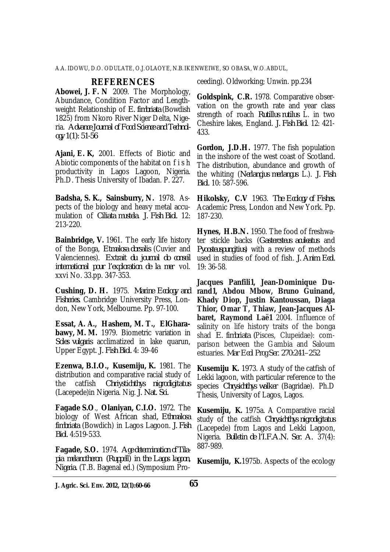A.A. IDOWU, D.O. ODULATE, O.J.OLAOYE, N.B.IKENWEIWE, SO OBASA, W.O.ABDUL,

#### **REFERENCES**

**Abowei, J. F. N** 2009. The Morphology, Abundance, Condition Factor and Lengthweight Relationship of *E. fimbriata* (Bowdish 1825) from Nkoro River Niger Delta, Nigeria. *Advance Journal of Food Science and Technology 1(1): 51-56*

**Ajani, E. K,** 2001. Effects of Biotic and Abiotic components of the habitat on f i s h productivity in Lagos Lagoon, Nigeria. Ph.D. Thesis University of Ibadan. P. 227.

**Badsha, S. K., Sainsburry, N.** 1978. Aspects of the biology and heavy metal accumulation of *Ciliata mustela*. *J. Fish Biol.* 12: 213-220.

**Bainbridge, V.** 1961. The early life history of the Bonga, *Etmalosa dorsalis* (Cuvier and Valenciennes). *Extrait du journal do conseil international pour l'exploration de la mer* vol. xxvi No. 33.pp. 347-353.

**Cushing, D. H.** 1975. *Marine Ecology and Fisheries.* Cambridge University Press, London, New York, Melbourne. Pp. 97-100.

**Essat, A. A., Hashem, M. T., ElGharabawy, M. M.** 1979. Biometric variation in *Soles vulgaris* acclimatized in lake quarun, Upper Egypt. *J. Fish Biol.* 4: 39-46

**Ezenwa, B.I.O., Kusemiju, K.** 1981. The distribution and comparative racial study of<br>the catfish *Chriystichthys nigrodigitatus* the catfish *Chriystichthys nigrodigitatus* (Lacepede)in Nigeria. Nig. *J. Nat. Sci.*

**Fagade S.O**., **Olaniyan, C.I.O.** 1972. The biology of West African shad*, Ethmalosa fimbriata* (Bowdich) in Lagos Lagoon. *J. Fish Biol.* 4:519-533.

**Fagade, S.O.** 1974. *Age determination of Tilapia melanotheron (Ruppell) in the Lagos lagoon, Nigeria.* (T.B. Bagenal ed.) (Symposium Proceeding). Oldworking; Unwin. pp.234

**Goldspink, C.R.** 1978. Comparative observation on the growth rate and year class strength of roach *Rutillus rutilus* L. in two Cheshire lakes, England. *J. Fish Biol*. 12: 421- 433.

**Gordon, J.D.H.** 1977. The fish population in the inshore of the west coast of Scotland. The distribution, abundance and growth of the whiting (*Nerlangius merlangus* L.). *J. Fish Biol.* 10: 587-596.

**Hikolsky, C.V** 1963. *The Ecology of Fishes.* Academic Press, London and New York. Pp. 187-230.

**Hynes, H.B.N.** 1950. The food of freshwater stickle backs (*Gastercsteus aculeatus* and *Pyoosteuspungitius*) with a review of methods used in studies of food of fish. *J. Anim. Ecol.* 19: 36-58.

**Jacques Panfili1, Jean-Dominique Durand1, Abdou Mbow, Bruno Guinand, Khady Diop, Justin Kantoussan, Diaga Thior, Omar T, Thiaw, Jean-Jacques Albaret, Raymond Laë1** 2004. Influence of salinity on life history traits of the bonga shad *E. fimbriata (*Pisces, Clupeidae): comparison between the Gambia and Saloum estuaries. *Mar Ecol Prog Ser. 270:241–252*

**Kusemiju K.** 1973. A study of the catfish of Lekki lagoon, with particular reference to the species *Chrysichthys walker* (Bagridae). Ph.D Thesis, University of Lagos, Lagos.

**Kusemiju, K.** 1975a. A Comparative racial study of the catfish *Chrysichthys nigrodigitatus* (Lacepede) from Lagos and Lekki Lagoon, Nigeria. *Bulletin de l'I.F.A.N. Ser. A.* 37(4): 887-989.

**Kusemiju, K.**1975b. Aspects of the ecology

**J. Agric. Sci. Env. 2012, 12(1):60-66 65**